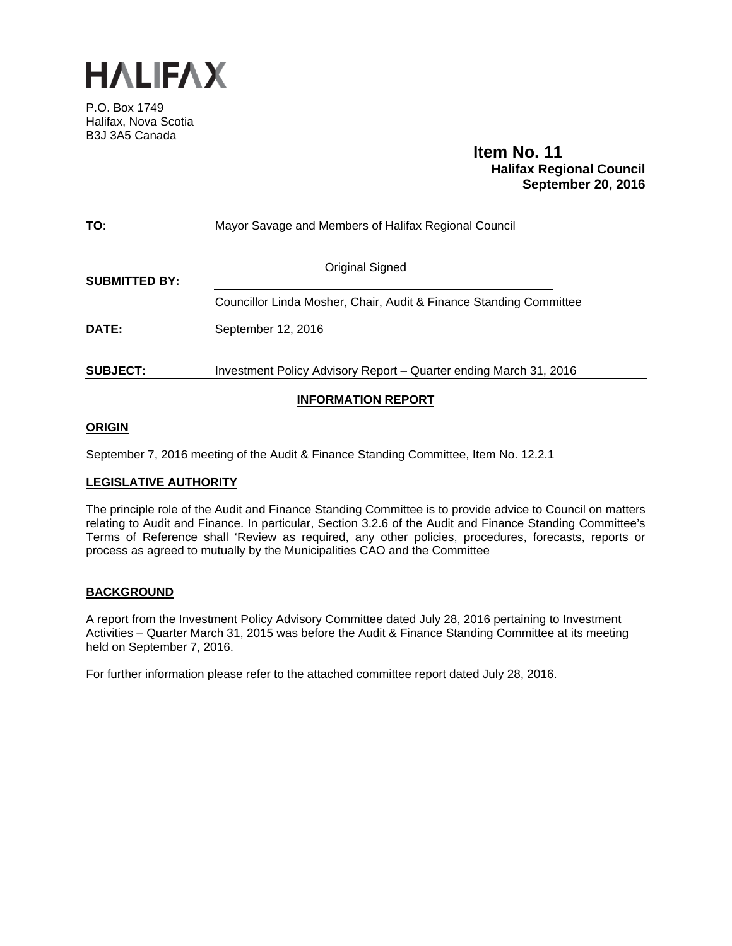

P.O. Box 1749 Halifax, Nova Scotia B3J 3A5 Canada

# **Item No. 11 Halifax Regional Council September 20, 2016**

| TO:                  | Mayor Savage and Members of Halifax Regional Council               |
|----------------------|--------------------------------------------------------------------|
| <b>SUBMITTED BY:</b> | <b>Original Signed</b>                                             |
|                      | Councillor Linda Mosher, Chair, Audit & Finance Standing Committee |
| <b>DATE:</b>         | September 12, 2016                                                 |
| <b>SUBJECT:</b>      | Investment Policy Advisory Report - Quarter ending March 31, 2016  |
|                      |                                                                    |

# **INFORMATION REPORT**

# **ORIGIN**

September 7, 2016 meeting of the Audit & Finance Standing Committee, Item No. 12.2.1

# **LEGISLATIVE AUTHORITY**

The principle role of the Audit and Finance Standing Committee is to provide advice to Council on matters relating to Audit and Finance. In particular, Section 3.2.6 of the Audit and Finance Standing Committee's Terms of Reference shall 'Review as required, any other policies, procedures, forecasts, reports or process as agreed to mutually by the Municipalities CAO and the Committee

# **BACKGROUND**

A report from the Investment Policy Advisory Committee dated July 28, 2016 pertaining to Investment Activities – Quarter March 31, 2015 was before the Audit & Finance Standing Committee at its meeting held on September 7, 2016.

For further information please refer to the attached committee report dated July 28, 2016.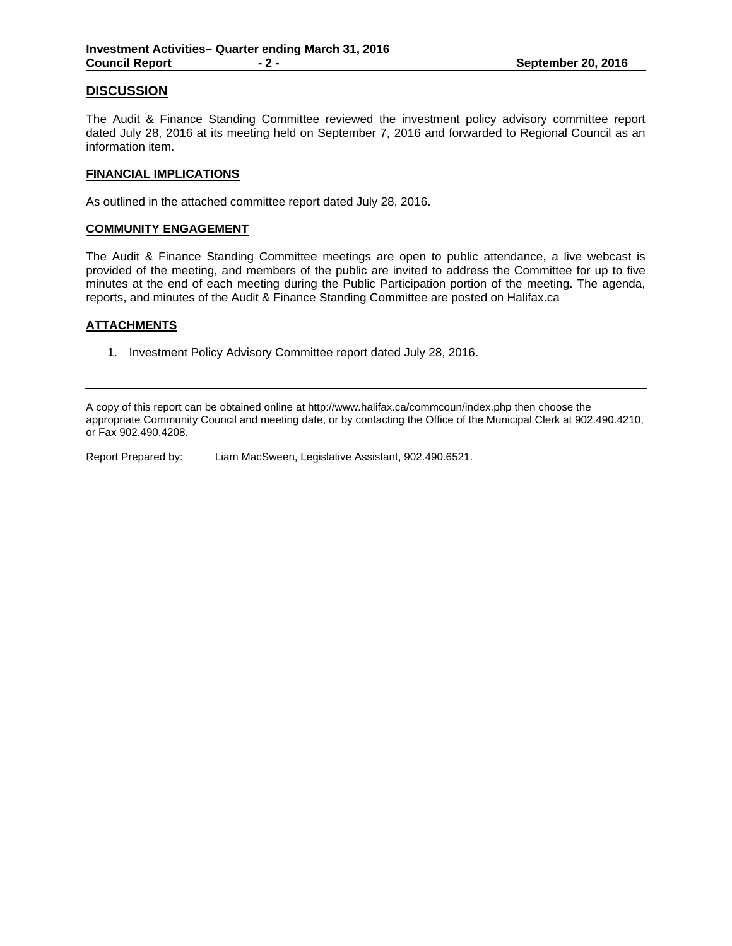# **DISCUSSION**

The Audit & Finance Standing Committee reviewed the investment policy advisory committee report dated July 28, 2016 at its meeting held on September 7, 2016 and forwarded to Regional Council as an information item.

## **FINANCIAL IMPLICATIONS**

As outlined in the attached committee report dated July 28, 2016.

## **COMMUNITY ENGAGEMENT**

The Audit & Finance Standing Committee meetings are open to public attendance, a live webcast is provided of the meeting, and members of the public are invited to address the Committee for up to five minutes at the end of each meeting during the Public Participation portion of the meeting. The agenda, reports, and minutes of the Audit & Finance Standing Committee are posted on Halifax.ca

# **ATTACHMENTS**

1. Investment Policy Advisory Committee report dated July 28, 2016.

A copy of this report can be obtained online at http://www.halifax.ca/commcoun/index.php then choose the appropriate Community Council and meeting date, or by contacting the Office of the Municipal Clerk at 902.490.4210, or Fax 902.490.4208.

Report Prepared by: Liam MacSween, Legislative Assistant, 902.490.6521.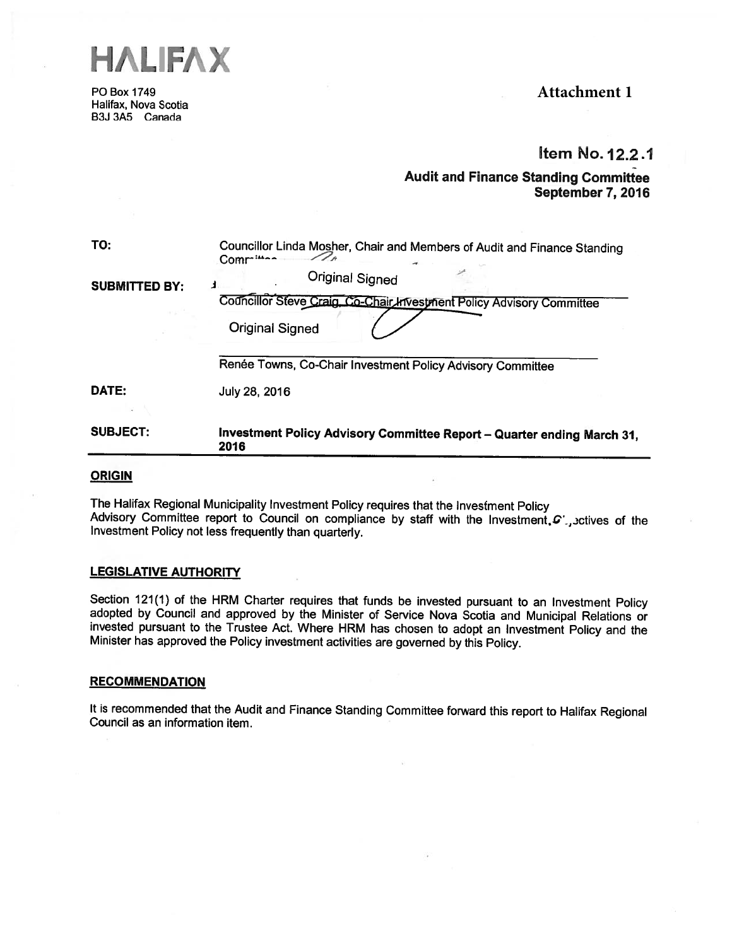

P0 Box 1749 Halifax, Nova Scotia B3J 3A5 Canada

# **Attachment 1**

# Item No.12.2.1

# Audit and Finance Standing Committee September 7, 2016

| <b>SUBJECT:</b>      | Investment Policy Advisory Committee Report - Quarter ending March 31,<br>2016                  |
|----------------------|-------------------------------------------------------------------------------------------------|
|                      |                                                                                                 |
| DATE:                | July 28, 2016                                                                                   |
|                      | Renée Towns, Co-Chair Investment Policy Advisory Committee                                      |
|                      | <b>Original Signed</b>                                                                          |
| <b>SUBMITTED BY:</b> | <b>Original Signed</b><br>Councillor Steve Craig, Co-Chair Investment Policy Advisory Committee |
| TO:                  | Councillor Linda Mosher, Chair and Members of Audit and Finance Standing<br>Commun -            |

#### **ORIGIN**

The Halifax Regional Municipality Investment Policy requires that the Investment Policy Advisory Committee report to Council on compliance by staff with the Investment,  $G^{\dagger}$  , sctives of the Investment Policy not less frequently than quarterly.

# LEGISLATIVE AUTHORITY

Section 121(1) of the HRM Charter requires that funds be invested pursuant to an Investment Policy adopted by Council and approved by the Minister of Service Nova Scotia and Municipal Relations or invested pursuant to the

#### **RECOMMENDATION**

It is recommended that the Audit and Finance Standing Committee forward this report to Halifax Regional Council as an information item.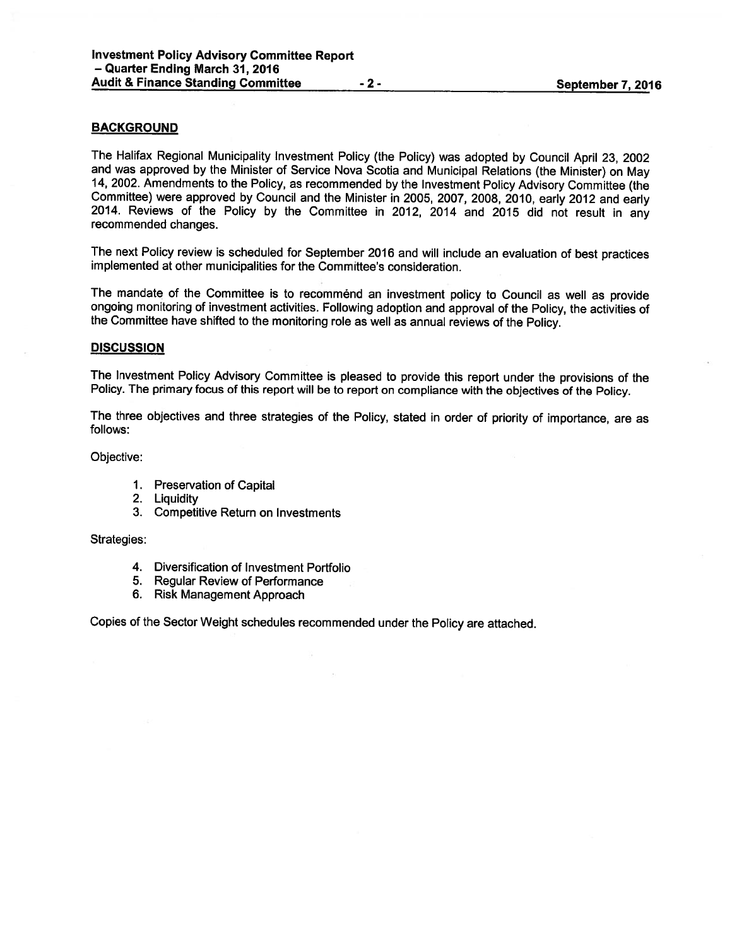# BACKGROUND

The Halifax Regional Municipality Investment Policy (the Policy) was adopted by Council April 23, <sup>2002</sup> and was approve<sup>d</sup> by the Minister of Service Nova Scotia and Municipal Relations (the Minister) on May 14, 2002. Amendments to the Policy, as recommended by the Investment Policy Advisory Committee (the Committee) were approve<sup>d</sup> by Council and the Minister in 2005, 2007, 2008, 2010, early <sup>2012</sup> and early 2014. Reviews of the Policy by the Committee in 2012, <sup>2014</sup> and <sup>2015</sup> did not result in any recommended changes.

The next Policy review is scheduled for September <sup>2016</sup> and will include an evaluation of best practices implemented at other municipalities for the Committee's consideration.

The mandate of the Committee is to recommend an investment policy to Council as well as provide ongoing monitoring of investment activities. Following adoption and approva<sup>l</sup> of the Policy, the activities of the Committee have shifted to the monitoring role as well as annual reviews of the Policy.

#### **DISCUSSION**

The Investment Policy Advisory Committee is <sup>p</sup>leased to provide this repor<sup>t</sup> under the provisions of the Policy. The primary focus of this repor<sup>t</sup> will be to repor<sup>t</sup> on compliance with the objectives of the Policy.

The three objectives and three strategies of the Policy, stated in order of priority of importance, are as follows:

Objective:

- 1. Preservation of Capital
- 2. Liquidity
- 3. Competitive Return on Investments

Strategies:

- 4. Diversification of Investment Portfolio
- 5. Regular Review of Performance
- 6. Risk Management Approach

Copies of the Sector Weight schedules recommended under the Policy are attached.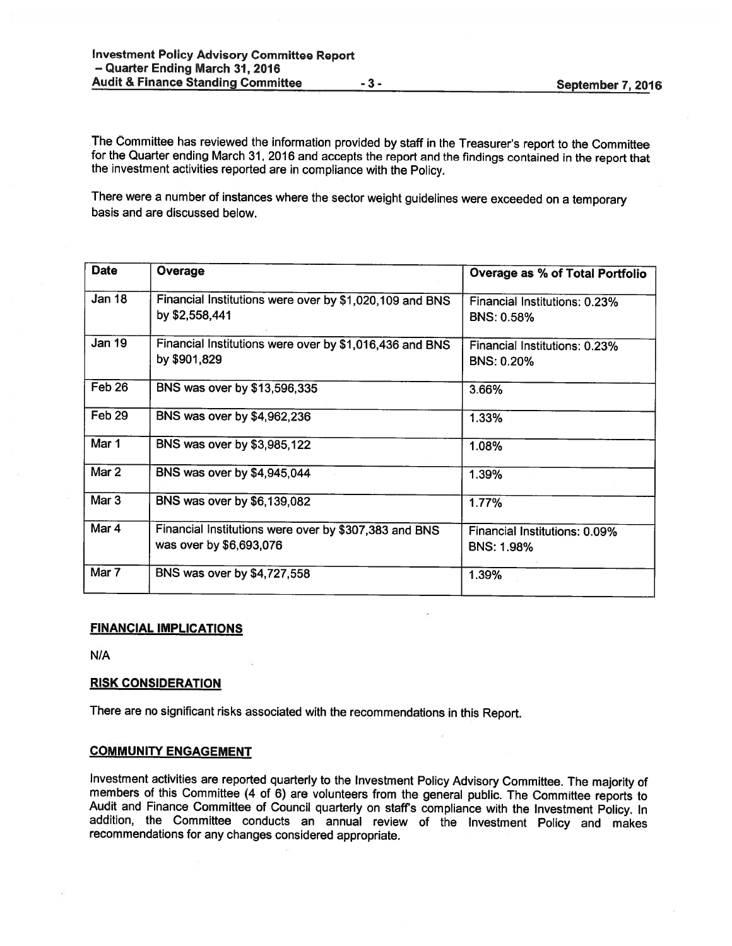The Committee has reviewed the information provided by staff in the Treasurer's report to the Committee for the Quarter ending March 31, <sup>2016</sup> and accepts the report and the findings contained in the report that the investment activities reported are in compliance with the Policy.

There were <sup>a</sup> number of instances where the sector weight guidelines were exceeded on <sup>a</sup> temporary basis and are discussed below.

| <b>Date</b>       | Overage                                                                          | <b>Overage as % of Total Portfolio</b>             |
|-------------------|----------------------------------------------------------------------------------|----------------------------------------------------|
| <b>Jan 18</b>     | Financial Institutions were over by \$1,020,109 and BNS<br>by \$2,558,441        | Financial Institutions: 0.23%<br><b>BNS: 0.58%</b> |
| Jan 19            | Financial Institutions were over by \$1,016,436 and BNS<br>by \$901,829          | Financial Institutions: 0.23%<br><b>BNS: 0.20%</b> |
| Feb 26            | BNS was over by \$13,596,335                                                     | 3.66%                                              |
| Feb <sub>29</sub> | BNS was over by \$4,962,236                                                      | 1.33%                                              |
| Mar 1             | BNS was over by \$3,985,122                                                      | 1.08%                                              |
| Mar 2             | BNS was over by \$4,945,044                                                      | 1.39%                                              |
| Mar <sub>3</sub>  | BNS was over by \$6,139,082                                                      | 1.77%                                              |
| Mar 4             | Financial Institutions were over by \$307,383 and BNS<br>was over by \$6,693,076 | Financial Institutions: 0.09%<br><b>BNS: 1.98%</b> |
| Mar 7             | BNS was over by \$4,727,558                                                      | 1.39%                                              |

### FINANCIAL IMPLICATIONS

N/A

# RISK CONSIDERATION

There are no significant risks associated with the recommendations in this Report.

#### COMMUNITY ENGAGEMENT

Investment activities are reported quarterly to the Investment Policy Advisory Committee. The majority of members of this Committee (4 of 6) are volunteers from the general public. The Committee reports to Audit and Financ recommendations for any changes considered appropriate.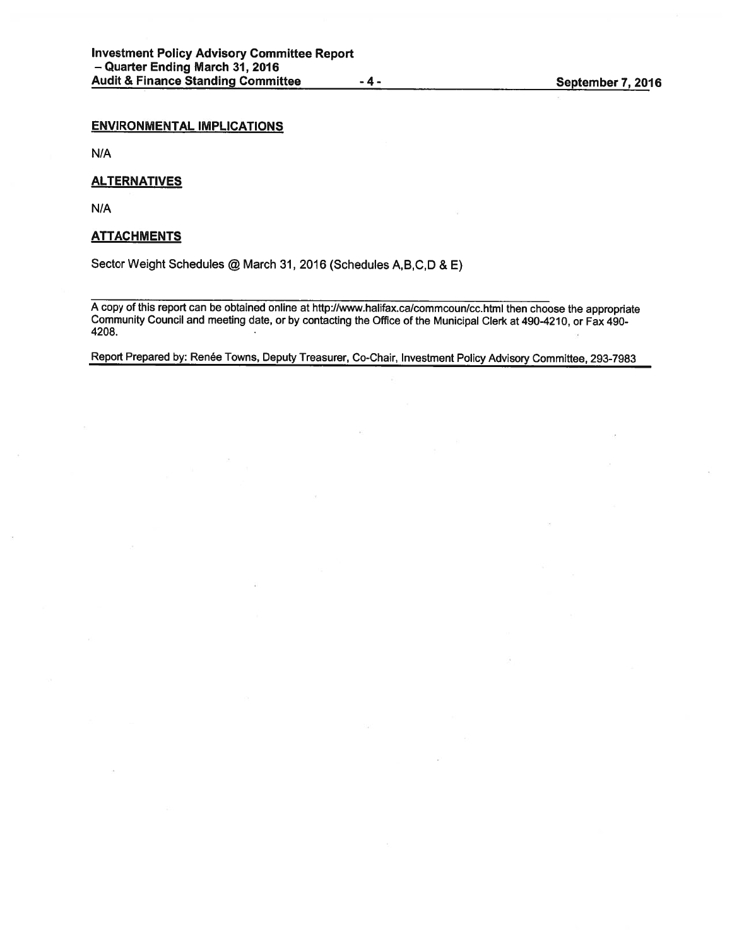# ENVIRONMENTAL IMPLICATIONS

N/A

### **ALTERNATIVES**

N/A

# **ATTACHMENTS**

Sector Weight Schedules @ March 31, <sup>2016</sup> (Schedules A,B,C,D & E)

<sup>A</sup> copy of this repor<sup>t</sup> can be obtained online at http://www.halifax.ca/commcoun/cchtml then choose the appropriate Community Council and meeting date, or by contacting the Office of the Municipal Clerk at 490-4210, or Fax 490- 4208.

Report Prepared by: Renée Towns, Deputy Treasurer, Co-Chair, Investment Policy Advisory Committee, 293-7983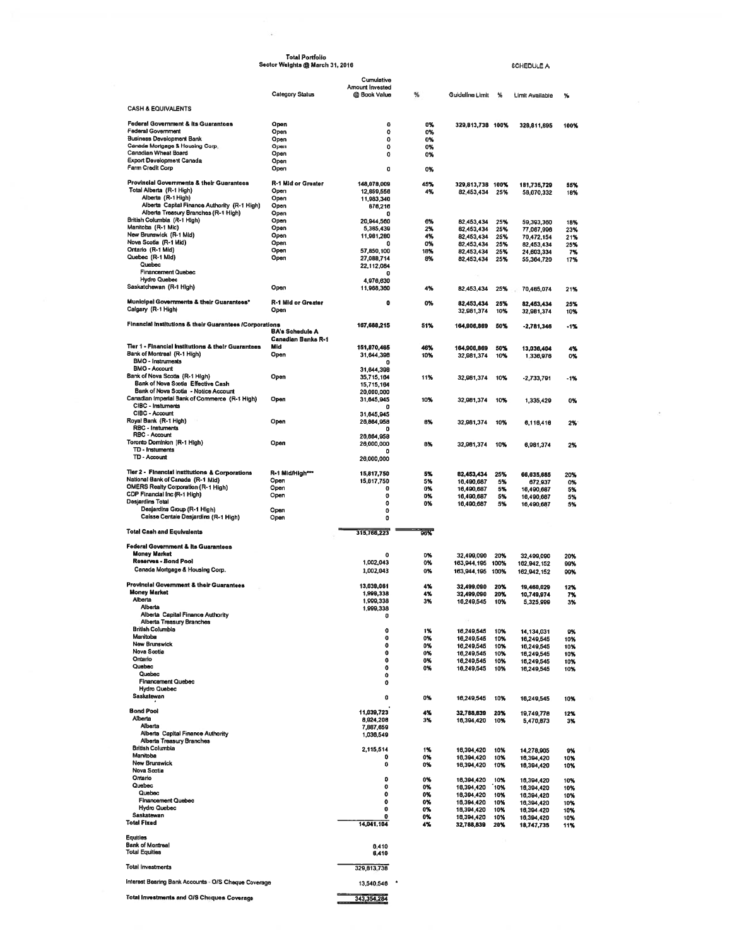| <b>Total Portfolio</b><br>Sector Weights @ March 31, 2016                             |                                                     |                               |           |                           |             |                           |            |
|---------------------------------------------------------------------------------------|-----------------------------------------------------|-------------------------------|-----------|---------------------------|-------------|---------------------------|------------|
|                                                                                       |                                                     |                               |           |                           |             | <b>SCHEDULE A</b>         |            |
|                                                                                       |                                                     | Cumulative<br>Amount Invested |           |                           |             |                           |            |
|                                                                                       | <b>Category Status</b>                              | @ Book Value                  | ℁         | Guideline Limit           | ℁           | <b>Limit Available</b>    | ℁          |
| <b>CASH &amp; EQUIVALENTS</b>                                                         |                                                     |                               |           |                           |             |                           |            |
| <b>Federal Government &amp; its Guarantees</b>                                        | Open                                                | $\Omega$                      | 0%        | 329,813,738 100%          |             | 328,811,695               | 100%       |
| <b>Federal Government</b><br><b>Business Development Bank</b>                         | Open<br>Open                                        | 0<br>0                        | 0%<br>0%  |                           |             |                           |            |
| Canada Mortgage & Housing Corp.                                                       | Open                                                | 0                             | 0%        |                           |             |                           |            |
| Canadian Wheat Board<br><b>Export Development Canada</b>                              | Open<br>Open                                        | 0                             | 0%        |                           |             |                           |            |
| Farm Credit Corp                                                                      | Open                                                | 0                             | 0%        |                           |             |                           |            |
| Provincial Governments & their Guarantees                                             | <b>R-1 Mid or Greater</b>                           | 148,078,009                   | 45%       | 329,813,738 100%          |             | 181,735,729               | 55%        |
| Total Alberta (R-1 High)<br>Alberta (R-1 High)                                        | Open<br>Open                                        | 12,859,556<br>11,983,340      | 4%        | 82,453,434                | 25%         | 58,670,332                | 18%        |
| Alberta Capital Finance Authority (R-1 High)                                          | Open                                                | 676,216                       |           |                           |             |                           |            |
| Alberta Treasury Branches (R-1 High)<br>British Columbia (R-1 High)                   | Open<br>Open                                        | o<br>20,944,560               | 6%        | 82,453,434                | 25%         | 59,393,360                | 18%        |
| Manitoba (R-1 Mid)<br>New Brunswick (R-1 Mid)                                         | Open                                                | 5,385,439                     | 2%        | 82,453,434                | 25%         | 77,067,996                | 23%        |
| Nova Scotia (R-1 Mid)                                                                 | Open<br>Open                                        | 11,981,280<br>o               | 4%<br>0%  | 82,453,434<br>82,453,434  | 25%<br>25%  | 70,472,154<br>82,453,434  | 21%<br>25% |
| Ontario (R-1 Mid)<br>Quebec (R-1 Mid)                                                 | Open<br>Open                                        | 57,850,100<br>27,088,714      | 18%<br>8% | 82,453,434                | 25%         | 24,603,334                | 7%         |
| Quebec                                                                                |                                                     | 22,112,084                    |           | 82,453,434                | 25%         | 55,364,720                | 17%        |
| <b>Financement Quebec</b><br><b>Hydro Quebec</b>                                      |                                                     | o<br>4,976,630                |           |                           |             |                           |            |
| Saskatchewan (R-1 High)                                                               | Open                                                | 11,968,360                    | 4%        | 82,453,434                | 25%         | 70,485,074                | 21%        |
| Municipal Governments & their Guarantees*                                             | <b>R-1 Mid or Greater</b>                           | 0                             | 0%        | 82,453,434                | 25%         | 82,453,434                | 25%        |
| Calgary (R-1 High)                                                                    | Open                                                |                               |           | 32,981,374                | 10%         | 32,981,374                | 10%        |
| Financial Institutions & their Guarantees /Corporations                               |                                                     | 167,688,215                   | 51%       | 164,906,869               | 50%         | $-2,781,346$              | $-1%$      |
|                                                                                       | <b>BA's Schedule A</b><br><b>Canadian Banks R-1</b> |                               |           |                           |             |                           |            |
| Tier 1 - Financial Institutions & their Guarantees                                    | Mid                                                 | 151,870,465                   | 46%       | 164,906,869               | 50%         | 13,036,404                | 4%         |
| Bank of Montreal (R-1 High)<br><b>BMO - Instruments</b>                               | Open                                                | 31,644,398                    | 10%       | 32,981,374                | 10%         | 1,336,976                 | 0%         |
| <b>BMO - Account</b><br>Bank of Nova Scotia (R-1 High)                                |                                                     | 31,644,398                    |           |                           |             |                           |            |
| Bank of Nova Scotia Effective Cash                                                    | Open                                                | 35,715,164<br>15,715,164      | 11%       | 32,981,374                | 10%         | $-2,733,791$              | $-1%$      |
| Bank of Nova Scotia - Notice Account<br>Canadian Imperial Bank of Commerce (R-1 High) | Open                                                | 20,000,000<br>31,645,945      | 10%       |                           |             |                           |            |
| CIBC - Instuments                                                                     |                                                     | o                             |           | 32,981,374                | 10%         | 1,335,429                 | 0%         |
| CIBC - Account<br>Royal Bank (R-1 High)                                               | Open                                                | 31,645,945<br>26,864,958      | 6%        | 32,981,374                | 10%         | 6,116,416                 | 2%         |
| RBC - Instuments                                                                      |                                                     | o                             |           |                           |             |                           |            |
| RBC - Account<br>Toronto Dominion (R-1 High)                                          | Open                                                | 26,864,958<br>26,000,000      | 8%        | 32,981,374                | 10%         | 6,981,374                 | 2%         |
| TD - Instuments<br>TD - Account                                                       |                                                     | 0<br>26,000,000               |           |                           |             |                           |            |
|                                                                                       |                                                     |                               |           |                           |             |                           |            |
| Tier 2 - Financial Institutions & Corporations<br>National Bank of Canada (R-1 Mid)   | R-1 Mid/High***<br>Open                             | 15,817,750<br>15,817,750      | 5%<br>5%  | 82,453,434<br>16,490,687  | 25%<br>5%   | 66,635,685                | 20%<br>0%  |
| <b>OMERS Realty Corporation (R-1 High)</b>                                            | Open                                                | 0                             | 0%        | 16,490,687                | 5%          | 672,937<br>16,490,687     | 5%         |
| CDP Financial Inc (R-1 High)<br>Desjardins Total                                      | Open                                                | 0<br>0                        | 0%<br>0%  | 16,490,687<br>16,490,687  | 5%<br>5%    | 16,490,687<br>16,490,687  | 5%<br>5%   |
| Desjardins Group (R-1 High)<br>Caisse Centale Desjardins (R-1 High)                   | Open<br>Open                                        | 0<br>0                        |           |                           |             |                           |            |
|                                                                                       |                                                     |                               |           |                           |             |                           |            |
| <b>Total Cash and Equivalents</b>                                                     |                                                     | 315,766,223                   | 96%       |                           |             |                           |            |
| <b>Federal Government &amp; its Guarantees</b><br><b>Money Market</b>                 |                                                     |                               |           |                           |             |                           |            |
| Reserves - Bond Pool                                                                  |                                                     | 0<br>1,002,043                | 0%<br>0%  | 32,499,090<br>163,944,195 | 20%<br>100% | 32,499,090<br>102,942,152 | 20%<br>99% |
| Canada Mortgage & Housing Corp.                                                       |                                                     | 1,002,043                     | 0%        | 163,944,195 100%          |             | 162,942,152               | 99%        |
| <b>Provincial Government &amp; their Guarantees</b>                                   |                                                     | 13.039.061                    | 4%        | 32,499.090 20%            |             | 19,460,029                | 12%        |
| Money Market<br>Alberta                                                               |                                                     | 1,999,338<br>1,999,338        | 4%<br>3%  | 32,499,090<br>16,249,545  | 20%<br>10%  | 10,749,974                | 7%         |
| Alberta                                                                               |                                                     | 1,999,338                     |           |                           |             | 5,325,999                 | 3%         |
| Alberta Capital Finance Authority<br>Alberta Treasury Branches                        |                                                     | 0                             |           |                           |             |                           |            |
| <b>British Columbia</b><br>Manitoba                                                   |                                                     | 0                             | 1%        | 16,249,545                | 10%         | 14,134,031                | 9%         |
| New Brunswick                                                                         |                                                     | 0<br>0                        | 0%<br>0%  | 16,249,545<br>16,249,545  | 10%<br>10%  | 16,249,545<br>16,249,545  | 10%<br>10% |
| Nova Scotia<br>Ontario                                                                |                                                     | 0<br>$\bf{0}$                 | 0%<br>0%  | 16,249,545<br>16,249,545  | 10%         | 16,249,545                | 10%        |
| Quebec                                                                                |                                                     | 0                             | 0%        | 16,249,545                | 10%<br>10%  | 16,249,545<br>16,249,545  | 10%<br>10% |
| Quebec<br><b>Financement Quebec</b>                                                   |                                                     | 0<br>0                        |           |                           |             |                           |            |
| <b>Hydro Quebec</b>                                                                   |                                                     |                               |           |                           |             |                           |            |
| Saskatewan                                                                            |                                                     | 0                             | 0%        | 16,249,545                | 10%         | 16,249,545                | 10%        |
| Bond Pool<br>Alberta                                                                  |                                                     | 11,039,723<br>8,924,208       | 4%<br>3%  | 32,788,839                | 20%         | 19,749,778                | 12%        |
| Alberta                                                                               |                                                     | 7,887,659                     |           | 16,394,420                | 10%         | 5,470,873                 | 3%         |
| Alberta Capital Finance Authority<br>Alberta Treasury Branches                        |                                                     | 1,036,549                     |           |                           |             |                           |            |
| British Columbia<br>Manitoba                                                          |                                                     | 2,115,514                     | 1%        | 16,394,420                | 10%         | 14,278,905                | 9%         |
| New Brunswick                                                                         |                                                     | ٥<br>0                        | 0%<br>0%  | 16,394,420<br>16,394,420  | 10%<br>10%  | 16,394,420<br>16,394,420  | 10%<br>10% |
| <b>Nova Scotia</b><br>Ontario                                                         |                                                     | 0                             |           |                           |             |                           |            |
| Quebec                                                                                |                                                     | 0                             | 0%<br>0%  | 16,394,420<br>16,394,420  | 10%<br>10%  | 16,394,420<br>16,394,420  | 10%<br>10% |
| Quebec<br><b>Financement Quebec</b>                                                   |                                                     | 0<br>0                        | 0%<br>0%  | 16,394,420<br>16,394,420  | 10%<br>10%  | 16,394,420<br>16,394,420  | 10%<br>10% |
| <b>Hydro Quebec</b><br>Saskatewan                                                     |                                                     | 0                             | 0%        | 16,394,420                | 10%         | 16,394,420                | 10%        |
| <b>Total Fixed</b>                                                                    |                                                     | 0<br>14,041,104               | 0%<br>4%  | 16,394,420<br>32,788,839  | 10%<br>20%  | 16,394,420<br>18,747,735  | 10%<br>11% |
| <b>Equities</b>                                                                       |                                                     |                               |           |                           |             |                           |            |
| <b>Bank of Montreal</b>                                                               |                                                     | 6,410                         |           |                           |             |                           |            |
| <b>Total Equities</b>                                                                 |                                                     | 6,410                         |           |                           |             |                           |            |
| <b>Total Investments</b>                                                              |                                                     | 329,813,738                   |           |                           |             |                           |            |
| Interest Bearing Bank Accounts - O/S Cheque Coverage                                  |                                                     | 13,540,546                    |           |                           |             |                           |            |
| <b>Total Investments and O/S Cheques Coverage</b>                                     |                                                     | 343 354 284                   |           |                           |             |                           |            |

ò.

s.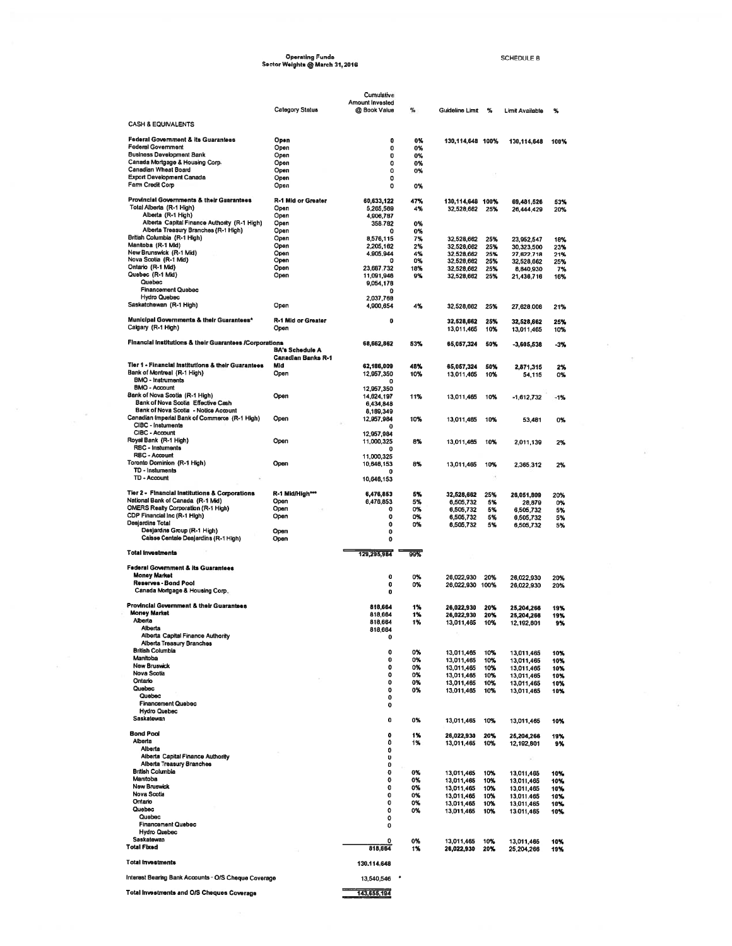# Operating Funds<br>Sector Weights @ March 31, 2016

SCHEDULE B

 $\bar{\alpha}$ 

Ŵ

|                                                                                 |                                                     | Cumulative<br>Amount Invested |           |                                    |            |                          |                   |
|---------------------------------------------------------------------------------|-----------------------------------------------------|-------------------------------|-----------|------------------------------------|------------|--------------------------|-------------------|
|                                                                                 | <b>Category Status</b>                              | @ Book Value                  | %         | Guideline Limit                    | %          | Limit Available          | $\boldsymbol{\%}$ |
| <b>CASH &amp; EQUIVALENTS</b>                                                   |                                                     |                               |           |                                    |            |                          |                   |
| <b>Federal Government &amp; its Guarantees</b>                                  | Open                                                | $\mathbf 0$                   | 0%        | 130,114,648 100%                   |            | 130,114,648              | 100%              |
| <b>Federal Government</b><br><b>Business Development Bank</b>                   | Open<br>Open                                        | 0                             | 0%        |                                    |            |                          |                   |
| Canada Mortgage & Housing Corp.                                                 | Open                                                | 0<br>0                        | 0%<br>0%  |                                    |            |                          |                   |
| Canadian Wheat Board                                                            | Open                                                | 0                             | 0%        |                                    |            |                          |                   |
| <b>Export Development Canada</b><br>Farm Credit Corp                            | Open                                                | 0<br>o                        |           |                                    |            |                          |                   |
|                                                                                 | Open                                                |                               | 0%        |                                    |            |                          |                   |
| Provincial Governments & their Guarantees<br>Total Alberta (R-1 High)           | <b>R-1 Mid or Greater</b><br>Open                   | 60,633,122<br>5,265,569       | 47%<br>4% | 130,114,648 100%<br>32,528,662 25% |            | 69,481,526               | 53%<br>20%        |
| Alberta (R-1 High)                                                              | Open                                                | 4,906,787                     |           |                                    |            | 26,444,429               |                   |
| Alberta Capital Finance Authority (R-1 High)                                    | Open                                                | 358,782                       | 0%        |                                    |            |                          |                   |
| Alberta Treasury Branches (R-1 High)<br>British Columbia (R-1 High)             | Open                                                | o                             | 0%        |                                    |            |                          |                   |
| Manitoba (R-1 Mid)                                                              | Open<br>Open                                        | 8,576,115<br>2,205,162        | 7%<br>2%  | 32.528.662<br>32,528,662           | 25%<br>25% | 23,952,547<br>30,323,500 | 18%<br>23%        |
| New Brunswick (R-1 Mid)                                                         | Open                                                | 4,905,944                     | 4%        | 32,528,662                         | 25%        | 27,622,718               | 21%               |
| Nova Scotia (R-1 Mid)                                                           | Open                                                | o                             | 0%        | 32,528,662                         | 25%        | 32,528,662               | 25%               |
| Ontario (R-1 Mid)<br>Quebec (R-1 Mid)                                           | Open<br>Open                                        | 23,687,732<br>11,091,946      | 18%<br>9% | 32,528,662<br>32,528,662           | 25%<br>25% | 8,840,930                | 7%<br>16%         |
| Quebec                                                                          |                                                     | 9,054,178                     |           |                                    |            | 21,436,716               |                   |
| <b>Financement Quebec</b>                                                       |                                                     | $\mathbf o$                   |           |                                    |            |                          |                   |
| <b>Hydro Quebec</b><br>Saskatchewan (R-1 High)                                  | Open                                                | 2,037,768<br>4,900,654        | 4%        | 32,528,662                         | 25%        | 27,628,008               | 21%               |
| Municipal Governments & their Guarantees*                                       | R-1 Mid or Greater                                  | o                             |           |                                    |            |                          |                   |
| Calgary (R-1 High)                                                              | Open                                                |                               |           | 32,528,662<br>13,011,465           | 25%<br>10% | 32,528,662<br>13,011,465 | 25%<br>10%        |
| Financial Institutions & their Guarantees /Corporations                         |                                                     | 68,662,862                    | 53%       | 65,057,324                         | 50%        | -3,605,538               | -3%               |
|                                                                                 | <b>BA's Schedule A</b><br><b>Canadian Banks R-1</b> |                               |           |                                    |            |                          |                   |
| Tier 1 - Financial Institutions & their Guarantees                              | Mid                                                 | 62,166,009                    | 48%       | 65,057,324                         | 50%        | 2,871,315                | 2%                |
| Bank of Montreal (R-1 High)                                                     | Open                                                | 12,957,350                    | 10%       | 13,011,465                         | 10%        | 54,115                   | 0%                |
| <b>BMO - Instruments</b><br><b>BMO - Account</b>                                |                                                     |                               |           |                                    |            |                          |                   |
| Bank of Nova Scotia (R-1 High)                                                  | Open                                                | 12,957,350<br>14,624,197      | 11%       |                                    |            |                          |                   |
| Bank of Nova Scotia Effective Cash                                              |                                                     | 6,434,848                     |           | 13,011,465                         | 10%        | $-1,612,732$             | $-1%$             |
| Bank of Nova Scotia - Notice Account                                            |                                                     | 8,189,349                     |           |                                    |            |                          |                   |
| Canadian Imperial Bank of Commerce (R-1 High)<br>CIBC - Instuments              | Open                                                | 12,957,984<br>o               | 10%       | 13,011,465                         | 10%        | 53,481                   | 0%                |
| CIBC - Account                                                                  |                                                     | 12,957,984                    |           |                                    |            |                          |                   |
| Royal Bank (R-1 High)                                                           | Open                                                | 11,000,325                    | 8%        | 13,011,465                         | 10%        | 2,011,139                | 2%                |
| RBC - Instuments<br>RBC - Account                                               |                                                     | o                             |           |                                    |            |                          |                   |
| Toronto Dominion (R-1 High)                                                     | Open                                                | 11,000,325<br>10,646,153      | 8%        | 13,011.465                         | 10%        | 2,365,312                | 2%                |
| TD - Instuments                                                                 |                                                     | 0                             |           |                                    |            |                          |                   |
| TD - Account                                                                    |                                                     | 10,646,153                    |           |                                    |            |                          |                   |
| Tier 2 - Financial Institutions & Corporations                                  | R-1 Mid/High***                                     | 6,476,853                     | 5%        | 32,528,662                         | 25%        | 26,051,809               | 20%               |
| National Bank of Canada (R-1 Mid)<br><b>OMERS Realty Corporation (R-1 High)</b> | Open                                                | 6,476,853                     | 5%        | 6,505,732                          | 5%         | 28,879                   | 0%                |
| CDP Financial Inc (R-1 High)                                                    | Open<br>Open                                        | 0<br>0                        | 0%<br>0%  | 6,505,732<br>6,505,732             | 5%<br>5%   | 6,505,732<br>6,505,732   | 5%<br>5%          |
| <b>Desjardins Total</b>                                                         |                                                     | 0                             | 0%        | 6,505,732                          | 5%         | 6,505,732                | 5%                |
| Desjardins Group (R-1 High)<br>Caisse Centale Desjardins (R-1 High)             | Ореп<br>Open                                        | 0<br>0                        |           |                                    |            |                          |                   |
| <b>Total Investments</b>                                                        |                                                     | 129,295,984                   | 99%       |                                    |            |                          |                   |
|                                                                                 |                                                     |                               |           |                                    |            |                          |                   |
| <b>Federal Government &amp; its Guarantees</b><br><b>Money Market</b>           |                                                     | 0                             | 0%        | 26,022,930                         | 20%        | 26,022,930               | 20%               |
| <b>Reserves - Bond Pool</b><br>Canada Mortgage & Housing Corp.                  |                                                     | 0<br>0                        | 0%        | 26,022,930 100%                    |            | 26,022,930               | 20%               |
|                                                                                 |                                                     |                               |           |                                    |            |                          |                   |
| <b>Provincial Government &amp; their Guarantees</b><br><b>Money Market</b>      |                                                     | 818,664                       | 1%        | 26,022,930                         | 20%        | 25,204,266               | 19%               |
| <b>Alherta</b>                                                                  |                                                     | 818,664                       | 1%        | 26,022,930                         | 20%        | 25,204,266               | 19%               |
| <b>Alberta</b>                                                                  |                                                     | 818,664<br>818,664            | 1%        | 13,011,465                         | 10%        | 12,192,801               |                   |
| Alberta Capital Finance Authority                                               |                                                     | o                             |           |                                    |            |                          |                   |
| <b>Alberta Treasury Branches</b><br><b>British Columbia</b>                     |                                                     |                               |           |                                    |            |                          |                   |
| Manitoba                                                                        |                                                     | 0<br>0                        | 0%<br>0%  | 13,011,465<br>13,011,465           | 10%<br>10% | 13,011,465<br>13,011,465 | 10%<br>10%        |
| New Bruswick                                                                    |                                                     | 0                             | 0%        | 13,011,465                         | 10%        | 13,011,465               | 10%               |
| <b>Nova Scotia</b>                                                              |                                                     | 0                             | 0%        | 13,011,465                         | 10%        | 13,011,465               | 10%               |
| Ontario<br>Quebec                                                               |                                                     | 0                             | 0%        | 13,011,465                         | 10%        | 13,011,465               | 10%               |
| Quebec                                                                          |                                                     | 0<br>0                        | 0%        | 13,011,465                         | 10%        | 13,011,465               | 10%               |
| <b>Financement Quebec</b>                                                       |                                                     | 0                             |           |                                    |            |                          |                   |
| <b>Hydro Quebec</b><br>Saskatewan                                               |                                                     |                               |           |                                    |            |                          |                   |
|                                                                                 |                                                     | 0                             | 0%        | 13,011,465                         | 10%        | 13,011,465               | 10%               |
| <b>Bond Pool</b><br>Alberta                                                     |                                                     | ٥                             | 1%        | 26,022,930                         | 20%        | 25,204,266               | 19%               |
| Alberta                                                                         |                                                     | 0<br>0                        | 1%        | 13,011,465                         | 10%        | 12,192,801               | 9%                |
| Alberta Capital Finance Authority                                               |                                                     | 0                             |           |                                    |            |                          |                   |
| <b>Alberta Treasury Branches</b>                                                |                                                     | 0                             |           |                                    |            |                          |                   |
| <b>British Columbia</b><br>Manitoba                                             |                                                     | 0                             | 0%        | 13,011,465                         | 10%        | 13,011,465               | 10%               |
| <b>New Bruswick</b>                                                             |                                                     | 0<br>0                        | 0%<br>0%  | 13,011,465<br>13,011,465           | 10%<br>10% | 13,011,465<br>13,011,465 | 10%<br>10%        |
| <b>Nova Scotia</b>                                                              |                                                     | 0                             | 0%        | 13,011,465                         | 10%        | 13,011,465               | 10%               |
| Ontario                                                                         |                                                     | 0                             | 0%        | 13,011,465                         | 10%        | 13,011,465               | 10%               |
| Quebec<br>Quebec                                                                |                                                     | 0                             | 0%        | 13,011,465                         | 10%        | 13 011,465               | 10%               |
| <b>Financement Quebec</b>                                                       |                                                     | 0<br>0                        |           |                                    |            |                          |                   |
| <b>Hydro Quebec</b>                                                             |                                                     |                               |           |                                    |            |                          |                   |
| Saskatewan<br><b>Total Fixed</b>                                                |                                                     | 0                             | 0%        | 13,011,465                         | 10%        | 13,011,465               | 10%               |
|                                                                                 |                                                     | 818,664                       | 1%        | 26,022,930                         | 20%        | 25,204,266               | 19%               |
| <b>Total Investments</b>                                                        |                                                     | 130,114,648                   |           |                                    |            |                          |                   |
| Interest Bearing Bank Accounts - O/S Cheque Coverage                            |                                                     | 13,540,546                    |           |                                    |            |                          |                   |
| <b>Total Investments and O/S Cheques Coverage</b>                               |                                                     | 143,655,194                   |           |                                    |            |                          |                   |
|                                                                                 |                                                     |                               |           |                                    |            |                          |                   |

 $\sim$   $^{-1}$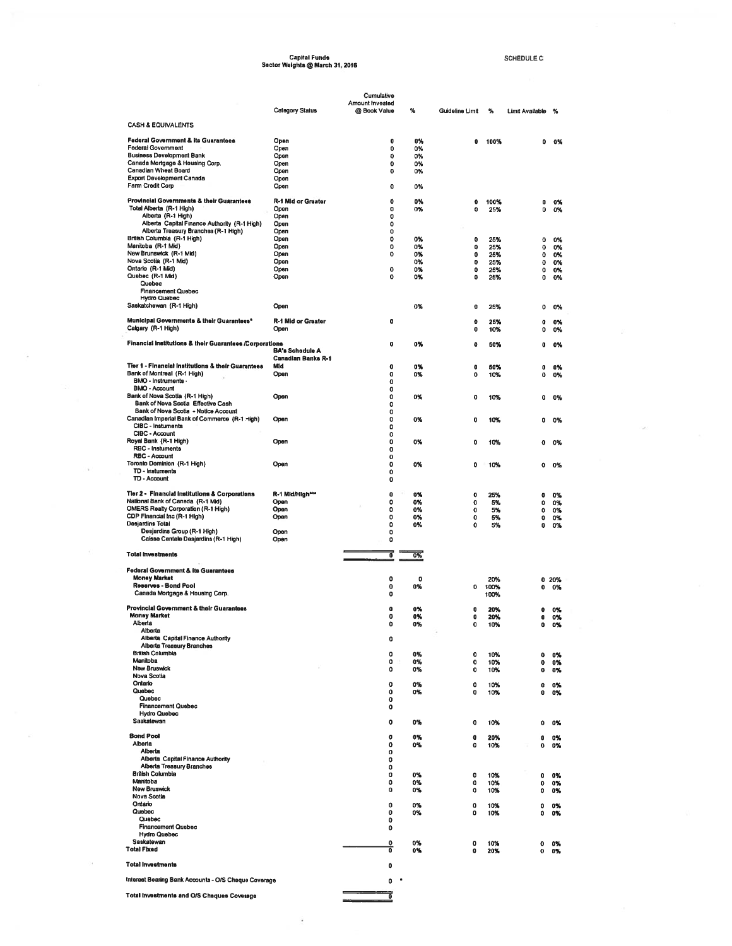# Capital Funds<br>Sector Weights @ March 31, 2016

SCHEDULE C

|                                                                                 | <b>Category Status</b>                              | Cumulative<br>Amount Invested<br>@ Book Value | ℁        | Guideline Limit | ℁            | Limit Available | %        |
|---------------------------------------------------------------------------------|-----------------------------------------------------|-----------------------------------------------|----------|-----------------|--------------|-----------------|----------|
| <b>CASH &amp; EQUIVALENTS</b>                                                   |                                                     |                                               |          |                 |              |                 |          |
| <b>Federal Government &amp; its Guarantees</b>                                  | Open                                                | 0                                             | 0%       | 0               | 100%         | 0               | 0%       |
| <b>Federal Government</b>                                                       | Open                                                | 0                                             | 0%       |                 |              |                 |          |
| <b>Business Development Bank</b><br>Canada Mortgage & Housing Corp.             | Open<br>Open                                        | 0<br>o                                        | 0%<br>0% |                 |              |                 |          |
| Canadian Wheat Board                                                            | Open                                                | o                                             | 0%       |                 |              |                 |          |
| <b>Export Development Canada</b><br>Farm Credit Corp                            | Opon<br>Open                                        | o                                             | 0%       |                 |              |                 |          |
| Provincial Governments & their Guarantees                                       | R-1 Mid or Greater                                  | $\mathbf 0$                                   | 0%       | 0               | 100%         | 0               |          |
| Total Alberta (R-1 High)                                                        | Open                                                | 0                                             | 0%       | 0               | 25%          | 0               | 0%<br>0% |
| Alberta (R-1 High)<br>Alberta Capital Finance Authority (R-1 High)              | Open<br>Open                                        | 0<br>o                                        |          |                 |              |                 |          |
| Alberta Treasury Branches (R-1 High)                                            | Ореп                                                | $\Omega$                                      |          |                 |              |                 |          |
| British Columbia (R-1 High)<br>Manitoba (R-1 Mid)                               | Open<br>Open                                        | 0<br>0                                        | 0%<br>0% | 0<br>0          | 25%<br>25%   | 0<br>0          | 0%<br>0% |
| New Brunswick (R-1 Mid)                                                         | Open                                                | $\mathbf{o}$                                  | 0%       | 0               | 25%          | 0               | 0%       |
| Nova Scotia (R-1 Mid)<br>Ontario (R-1 Mid)                                      | Open<br>Open                                        | $\mathbf 0$                                   | 0%<br>0% | 0<br>0          | 25%<br>25%   | 0<br>0          | 0%<br>0% |
| Quebec (R-1 Mid)                                                                | Open                                                | $\mathbf{o}$                                  | 0%       | 0               | 25%          | 0               | 0%       |
| Quebec<br><b>Financement Quebec</b>                                             |                                                     |                                               |          |                 |              |                 |          |
| <b>Hydro Quebec</b><br>Saskatchewan (R-1 High)                                  | Open                                                |                                               | 0%       |                 |              |                 |          |
|                                                                                 |                                                     |                                               |          | 0               | 25%          | ٥               | 0%       |
| Municipal Governments & their Guarantees*<br>Calgary (R-1 High)                 | R-1 Mid or Greater<br>Open                          | ۰                                             |          | 0<br>0          | 25%<br>10%   | O<br>0          | 0%<br>0% |
| Financial Institutions & their Guarantees /Corporations                         |                                                     | o                                             | 0%       | 0               | 50%          | 0               | 0%       |
|                                                                                 | <b>BA's Schedule A</b><br><b>Canadian Banks R-1</b> |                                               |          |                 |              |                 |          |
| Tier 1 - Financial Institutions & their Guarantees                              | Mid                                                 | 0                                             | 0%       | 0               | 50%          | 0               | 0%       |
| Bank of Montreal (R-1 High)<br>BMO - Instruments -                              | Open                                                | $\bf o$<br>0                                  | 0%       | 0               | 10%          | 0               | 0%       |
| <b>BMO - Account</b>                                                            |                                                     | 0                                             |          |                 |              |                 |          |
| Bank of Nova Scotia (R-1 High)<br>Bank of Nova Scotia Effective Cash            | Open                                                | 0<br>0                                        | 0%       | 0               | 10%          | ٥               | 0%       |
| Bank of Nova Scotia - Notice Account                                            |                                                     | o                                             |          |                 |              |                 |          |
| Canadian Imperial Bank of Commerce (R-1 High)<br>CIBC - Instuments              | Open                                                | 0<br>0                                        | 0%       | 0               | 10%          | o               | 0%       |
| CIBC - Account<br>Royal Bank (R-1 High)                                         |                                                     | 0                                             |          |                 |              |                 |          |
| RBC - Instuments                                                                | Open                                                | o<br>$\bf o$                                  | 0%       | 0               | 10%          | o               | 0%       |
| RBC - Account<br>Toronto Dominion (R-1 High)                                    | Open                                                | 0<br>0                                        |          |                 |              |                 |          |
| TD - Instuments                                                                 |                                                     | 0                                             | 0%       | 0               | 10%          | o               | 0%       |
| TD - Account                                                                    |                                                     | 0                                             |          |                 |              |                 |          |
| Tier 2 - Financial Institutions & Corporations                                  | R-1 Mid/High***                                     | $\bullet$                                     | 0%       | o               | 25%          | 0               | 0%       |
| National Bank of Canada (R-1 Mid)<br><b>OMERS Realty Corporation (R-1 High)</b> | Open<br>Open                                        | 0<br>0                                        | 0%<br>0% | 0<br>0          | 5%<br>5%     | 0<br>0          | 0%<br>0% |
| CDP Financial Inc (R-1 High)                                                    | Open                                                | 0                                             | 0%       | 0               | 5%           | o               | 0%       |
| <b>Desjardins Total</b><br>Desjardins Group (R-1 High)                          | Open                                                | $\circ$<br>0                                  | 0%       | O               | 5%           | 0               | 0%       |
| Caisse Centale Desjardins (R-1 High)                                            | Open                                                | 0                                             |          |                 |              |                 |          |
| <b>Total Investments</b>                                                        |                                                     | 7                                             | 0%       |                 |              |                 |          |
| <b>Federal Government &amp; its Guarantees</b>                                  |                                                     |                                               |          |                 |              |                 |          |
| <b>Money Market</b>                                                             |                                                     | 0                                             | 0        |                 | 20%          | 0               | 20%      |
| Reserves - Bond Pool<br>Canada Mortgage & Housing Corp.                         |                                                     | 0<br>0                                        | 0%       | 0               | 100%<br>100% | 0               | 0%       |
| Provincial Government & their Guarantees                                        |                                                     | $\bullet$                                     | 0%       | n               |              |                 |          |
| <b>Money Market</b>                                                             |                                                     | 0                                             | 0%       | o               | 20%<br>20%   | ٥<br>0          | 0%<br>0% |
| Alberta<br>Alberta                                                              |                                                     | 0                                             | 0%       | 0               | 10%          | 0               | 0%       |
| Alberta Capital Finance Authority                                               |                                                     | 0                                             |          |                 |              |                 |          |
| Alberta Treasury Branches<br><b>British Columbia</b>                            |                                                     | 0                                             | 0%       | 0               | 10%          | $\mathbf o$     | 0%       |
| Manitoba<br><b>New Bruswick</b>                                                 |                                                     | 0                                             | 0%       | 0               | 10%          | 0               | 0%       |
| <b>Nova Scotia</b>                                                              |                                                     | 0                                             | 0%       | 0               | 10%          | $\mathbf 0$     | 0%       |
| Ontario<br>Quebec                                                               |                                                     | 0<br>O                                        | 0%<br>0% | $\mathbf 0$     | 10%          | 0               | 0%       |
| Quebec                                                                          |                                                     | 0                                             |          | 0               | 10%          | 0               | 0%       |
| <b>Financement Quebec</b><br><b>Hydro Quebec</b>                                |                                                     | 0                                             |          |                 |              |                 |          |
| Saskatewan                                                                      |                                                     | 0                                             | 0%       | 0               | 10%          | 0               | ٥%       |
| <b>Bond Pool</b>                                                                |                                                     | o                                             | 0%       | 0               | 20%          | 0               | 0%       |
| Alberta<br>Alberta                                                              |                                                     | 0<br>٥                                        | 0%       | 0               | 10%          | $\mathbf o$     | 0%       |
| Alberta Capital Finance Authority                                               |                                                     | 0                                             |          |                 |              |                 |          |
| <b>Alberta Treasury Branches</b><br><b>British Columbia</b>                     |                                                     | 0<br>٥                                        | 0%       | 0               | 10%          | 0               | 0%       |
| Manitoba                                                                        |                                                     | ٥                                             | 0%       | 0               | 10%          | 0               | 0%       |
| <b>New Bruswick</b><br>Nova Scotia                                              |                                                     | 0                                             | 0%       | $\Omega$        | 10%          | ٥               | ٥%       |
| Ontario                                                                         |                                                     | 0                                             | 0%       | 0               | 10%          | ٥               | 0%       |
| Quebec<br>Quebec                                                                |                                                     | 0<br>0                                        | 0%       | 0               | 10%          | ٥               | 0%       |
| <b>Financement Quebec</b><br><b>Hydro Quebec</b>                                |                                                     | 0                                             |          |                 |              |                 |          |
| Saskatewan                                                                      |                                                     | 0                                             | 0%       | $\mathbf 0$     | 10%          | 0               | 0%       |
| <b>Total Fixed</b>                                                              |                                                     | ō                                             | 0%       | o               | 20%          | 0               | 0%       |
| <b>Total Investments</b>                                                        |                                                     | o                                             |          |                 |              |                 |          |
| Interest Bearing Bank Accounts - O/S Cheque Coverage                            |                                                     | 0                                             | ٠        |                 |              |                 |          |
| Total Investments and O/S Cheques Coverage                                      |                                                     | 7                                             |          |                 |              |                 |          |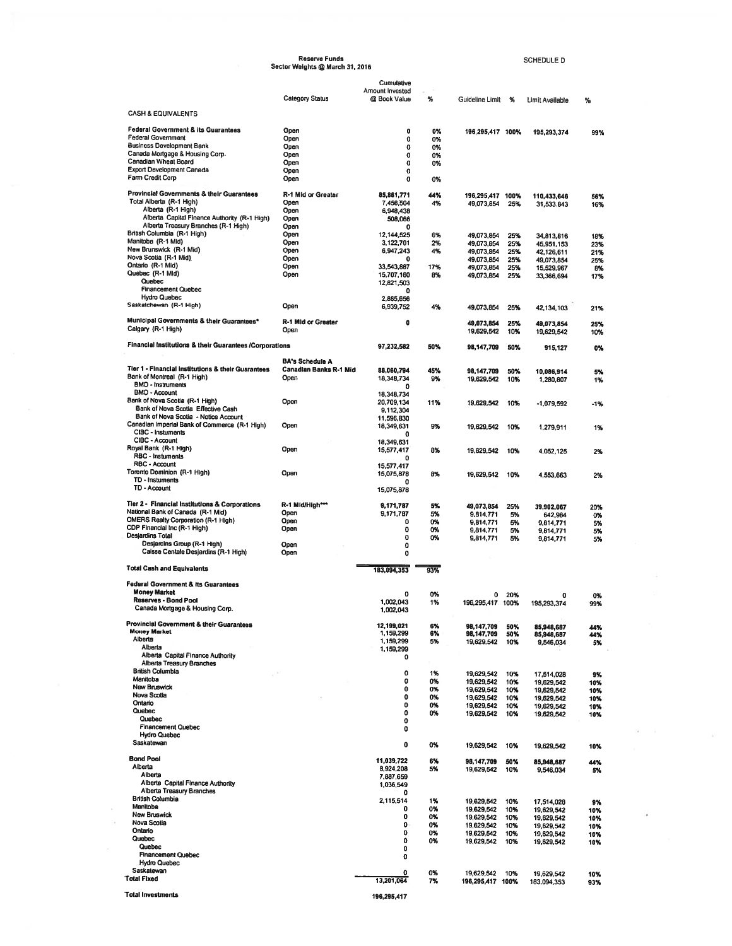|                                                                             | Sector Weights @ March 31, 2016                  |                               |          |                                    |            | <b>SCHEDULE D</b>         |
|-----------------------------------------------------------------------------|--------------------------------------------------|-------------------------------|----------|------------------------------------|------------|---------------------------|
|                                                                             |                                                  | Cumulative<br>Amount Invested |          |                                    |            |                           |
|                                                                             | Category Status                                  | @ Book Value                  | %        | Guideline Limit                    | -%         | Limit Available           |
| <b>CASH &amp; EQUIVALENTS</b>                                               |                                                  |                               |          |                                    |            |                           |
| <b>Federal Government &amp; its Guarantees</b><br><b>Federal Government</b> | Open<br>Open                                     | 0                             | 0%       | 196,295,417 100%                   |            | 195,293,374               |
| Business Development Bank                                                   | Open                                             | 0<br>0                        | 0%<br>0% |                                    |            |                           |
| Canada Mortgage & Housing Corp.                                             | Open                                             | 0                             | 0%       |                                    |            |                           |
| Canadian Wheat Board                                                        | Open                                             | 0                             | 0%       |                                    |            |                           |
| <b>Export Development Canada</b>                                            | Open                                             | 0                             |          |                                    |            |                           |
| Farm Credit Corp                                                            | Open                                             | 0                             | 0%       |                                    |            |                           |
| Provincial Governments & their Guarantees                                   | R-1 Mid or Greater                               | 85,861,771                    | 44%      |                                    |            |                           |
| Total Alberta (R-1 High)                                                    | Open                                             | 7,456,504                     | 4%       | 196,295,417 100%<br>49,073,854 25% |            | 110,433,646<br>31,533,843 |
| Alberta (R-1 High)                                                          | Open                                             | 6,948,438                     |          |                                    |            |                           |
| Alberta Capital Finance Authority (R-1 High)                                | Open                                             | 508.066                       |          |                                    |            |                           |
| Alberta Treasury Branches (R-1 High)<br>British Columbia (R-1 High)         | Open                                             | Ω                             |          |                                    |            |                           |
| Manitoba (R-1 Mid)                                                          | Open<br>Open                                     | 12,144,525<br>3.122,701       | 6%<br>2% | 49,073,854                         | 25%        | 34.813.816                |
| New Brunswick (R-1 Mid)                                                     | Open                                             | 6,947,243                     | 4%       | 49,073,854<br>49,073,854           | 25%<br>25% | 45,951,153<br>42,126,611  |
| Nova Scotia (R-1 Mid)                                                       | Open                                             |                               |          | 49,073,854                         | 25%        | 49,073,854                |
| Ontario (R-1 Mid)                                                           | Open                                             | 33,543,887                    | 17%      | 49,073,854                         | 25%        | 15,529,967                |
| Quebec (R-1 Mid)                                                            | Open                                             | 15,707,160                    | 8%       | 49,073,854                         | 25%        | 33,366,694                |
| Quebec<br><b>Financement Quebec</b>                                         |                                                  | 12,821,503                    |          |                                    |            |                           |
| <b>Hydro Quebec</b>                                                         |                                                  | o                             |          |                                    |            |                           |
| Saskatchewan (R-1 High)                                                     | Open                                             | 2,885,656<br>6,939,752        | 4%       | 49,073,854                         | 25%        | 42,134,103                |
| Municipal Governments & their Guarantees*                                   | R-1 Mid or Greater                               | 0                             |          | 49,073,854                         | 25%        | 49,073,854                |
| Calgary (R-1 High)                                                          | Open                                             |                               |          | 19,629,542                         | 10%        | 19.629.542                |
| Financial Institutions & their Guarantees /Corporations                     |                                                  | 97,232,582                    | 50%      | 98,147,709                         | 50%        | 915,127                   |
| Tier 1 - Financial Institutions & their Guarantees                          | <b>BA's Schedule A</b><br>Canadian Banks R-1 Mid | 88,060,794                    | 45%      | 98,147,709                         | 50%        | 10,086,914                |
| Bank of Montreal (R-1 High)<br><b>BMO - Instruments</b>                     | Open                                             | 18,348,734                    | 9%       | 19.629.542                         | 10%        | 1,280,807                 |
| <b>BMO - Account</b>                                                        |                                                  | 0<br>18,348,734               |          |                                    |            |                           |
| Bank of Nova Scotia (R-1 High)                                              | Open                                             | 20,709,134                    | 11%      | 19,629,542                         | 10%        | -1,079,592                |
| Bank of Nova Scotia Effective Cash                                          |                                                  | 9,112,304                     |          |                                    |            |                           |
| Bank of Nova Scotia - Notice Account                                        |                                                  | 11,596,830                    |          |                                    |            |                           |
| Canadian Imperial Bank of Commerce (R-1 High)<br>CIBC - Instuments          | Open                                             | 18,349,631<br>0               | 9%       | 19,629,542                         | 10%        | 1,279,911                 |
| CIBC - Account<br>Royal Bank (R-1 High)                                     |                                                  | 18,349.631                    |          |                                    |            |                           |
| RBC - Instuments                                                            | Open                                             | 15,577,417<br>0               | 8%       | 19,629,542                         | 10%        | 4,052,125                 |
| RBC - Account                                                               |                                                  | 15,577,417                    |          |                                    |            |                           |
| Toronto Dominion (R-1 High)                                                 | Open                                             | 15,075,878                    | 8%       | 19,629,542                         | 10%        | 4,553,663                 |
| TD - Instuments<br>TD - Account                                             |                                                  | л<br>15,075,878               |          |                                    |            |                           |
|                                                                             |                                                  |                               |          |                                    |            |                           |
| Tier 2 - Financial Institutions & Corporations                              | R-1 Mid/High***                                  | 9,171,787                     | 5%       | 49,073,854                         | 25%        | 39,902,067                |
| National Bank of Canada (R-1 Mid)                                           | Open                                             | 9,171,787                     | 5%       | 9,814,771                          | 5%         | 642,984                   |
| <b>OMERS Realty Corporation (R-1 High)</b>                                  | Open                                             | 0                             | 0%       | 9.814.771                          | 5%         | 9,814,771                 |
| CDP Financial Inc (R-1 High)<br>Desjardins Total                            | Open                                             | 0                             | 0%       | 9,814,771                          | 5%         | 9,814,771                 |
| Desjardins Group (R-1 High)                                                 | Open                                             | 0<br>0                        | 0%       | 9,814,771                          | 5%         | 9,814,771                 |
| Caisse Centale Desjardins (R-1 High)                                        | Open                                             | 0                             |          |                                    |            |                           |
| <b>Total Cash and Equivalents</b>                                           |                                                  | 183,094,353                   | 93%      |                                    |            |                           |
| Federal Government & its Guarantees                                         |                                                  |                               |          |                                    |            |                           |
| <b>Money Market</b>                                                         |                                                  | o                             | 0%       | 0                                  | 20%        | 0                         |
| Reserves - Bond Pool                                                        |                                                  | 1,002,043                     | 1%       | 196,295,417                        | 100%       | 195,293,374               |
| Canada Mortgage & Housing Corp.                                             |                                                  | 1,002,043                     |          |                                    |            |                           |
| Provincial Government & their Guarantees                                    |                                                  | 12,199,021                    | 6%       | 98,147,709                         | 50%        | 85,948,687                |
| <b>Money Market</b>                                                         |                                                  | 1,159,299                     | 6%       | 98,147,709                         | 50%        | 85,948,687                |
| Alberta                                                                     |                                                  | 1,159,299                     | 5%       | 19,629,542                         | 10%        | 9,546,034                 |
|                                                                             |                                                  | 1,159,299<br>0                |          |                                    |            |                           |
| Alberta                                                                     |                                                  |                               |          |                                    |            |                           |
| Alberta Capital Finance Authority<br><b>Alberta Treasury Branches</b>       |                                                  |                               |          |                                    |            |                           |
| <b>British Columbia</b>                                                     |                                                  | 0                             |          |                                    |            |                           |
| Manitoba                                                                    |                                                  | 0                             | 1%<br>0% | 19,629,542<br>19,629,542           | 10%<br>10% | 17,514,028                |
| <b>New Bruswick</b>                                                         |                                                  | 0                             | 0%       | 19,629,542                         | 10%        | 19,629,542<br>19.629.542  |
| Nova Scotia                                                                 |                                                  | 0                             | 0%       | 19,629,542                         | 10%        | 19,629,542                |
| Ontario                                                                     |                                                  | 0                             | 0%       | 19,629,542                         | 10%        | 19.629.542                |
| Quebec<br>Quebec                                                            |                                                  | 0                             | 0%       | 19,629,542                         | 10%        | 19,629,542                |
| <b>Financement Quebec</b>                                                   |                                                  | 0<br>o                        |          |                                    |            |                           |
| <b>Hydro Quebec</b>                                                         |                                                  |                               |          |                                    |            |                           |
| Saskatewan                                                                  |                                                  | 0                             | 0%       | 19,629,542                         | 10%        | 19,629,542                |
| <b>Bond Pool</b>                                                            |                                                  |                               |          |                                    |            |                           |
| Alberta                                                                     |                                                  | 11,039,722<br>8,924,208       | 6%<br>5% | 98,147,709<br>19,629,542           | 50%<br>10% | 85,948,687                |
| Alberta                                                                     |                                                  | 7,887,659                     |          |                                    |            | 9,546,034                 |
| Alberta Capital Finance Authority                                           |                                                  | 1,036,549                     |          |                                    |            |                           |
| Alberta Treasury Branches                                                   |                                                  | o                             |          |                                    |            |                           |
| <b>British Columbia</b>                                                     |                                                  | 2,115,514                     | 1%       | 19,629,542                         | 10%        | 17,514,028                |
| Manitoba<br><b>New Bruswick</b>                                             |                                                  | 0                             | 0%       | 19,629,542                         | 10%        | 19,629,542                |
| Nova Scotia                                                                 |                                                  | 0<br>0                        | 0%       | 19,629,542                         | 10%        | 19,629,542                |
| Ontario                                                                     |                                                  | 0                             | 0%<br>0% | 19,629,542                         | 10%        | 19,629,542                |
| Quebec                                                                      |                                                  | 0                             | 0%       | 19,629,542<br>19,629,542           | 10%<br>10% | 19,629,542<br>19,629,542  |
| Quebec                                                                      |                                                  | 0                             |          |                                    |            |                           |
| <b>Financement Quebec</b>                                                   |                                                  | 0                             |          |                                    |            |                           |
| <b>Hydro Quebec</b><br>Saskatewan                                           |                                                  | 0                             | 0%       | 19,629,542                         | 10%        | 19,629,542                |

 $\label{eq:R} \mathbf{R} = -\hat{\mathbf{x}} \tag{48}$ 

 $\sim$